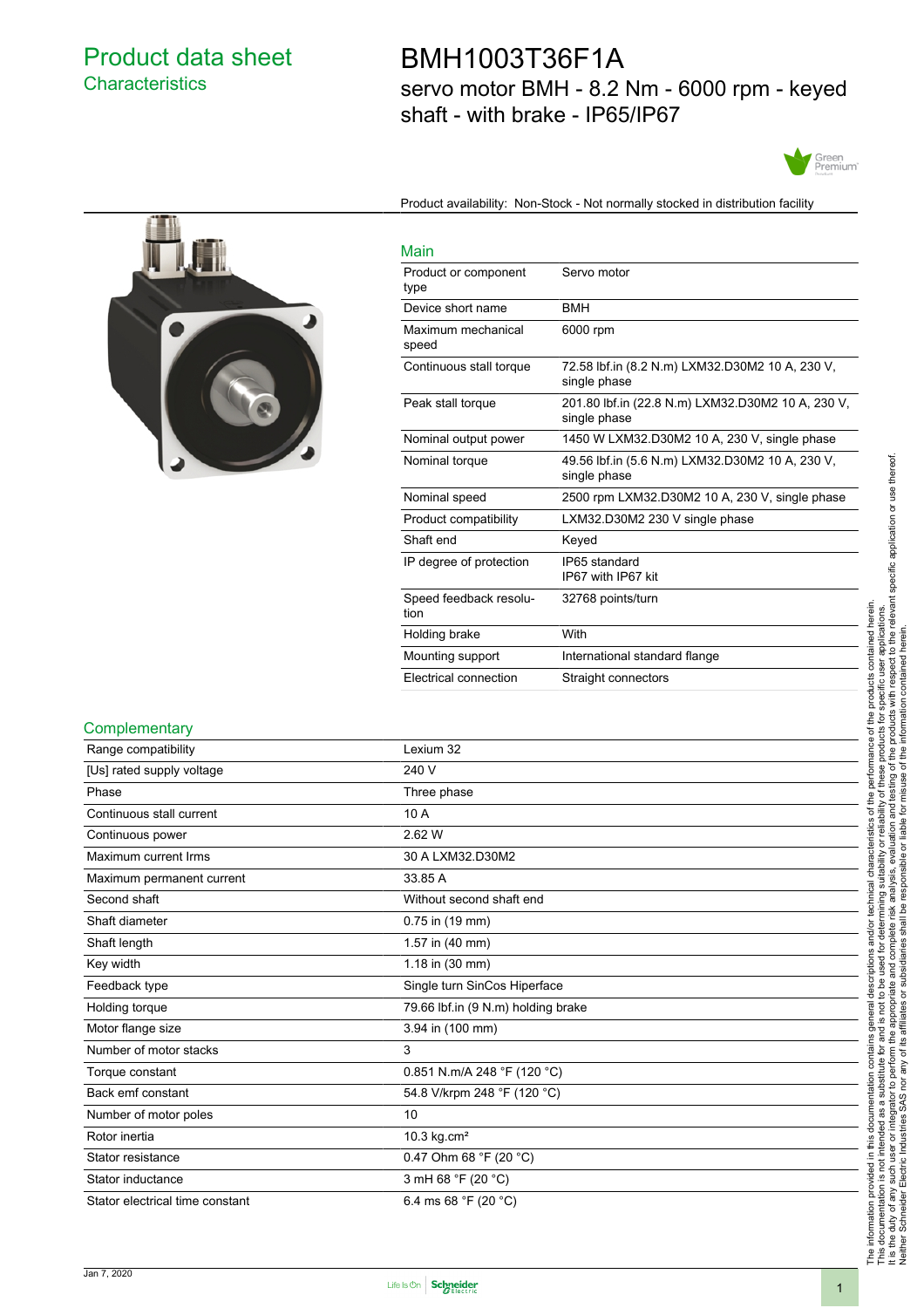# Product data sheet **Characteristics**

# BMH1003T36F1A servo motor BMH - 8.2 Nm - 6000 rpm - keyed shaft - with brake - IP65/IP67

Product availability: Non-Stock - Not normally stocked in distribution facility





| Main                           |                                                                   |
|--------------------------------|-------------------------------------------------------------------|
| Product or component<br>type   | Servo motor                                                       |
| Device short name              | <b>BMH</b>                                                        |
| Maximum mechanical<br>speed    | 6000 rpm                                                          |
| Continuous stall torque        | 72.58 lbf.in (8.2 N.m) LXM32.D30M2 10 A, 230 V,<br>single phase   |
| Peak stall torque              | 201.80 lbf.in (22.8 N.m) LXM32.D30M2 10 A, 230 V,<br>single phase |
| Nominal output power           | 1450 W LXM32.D30M2 10 A, 230 V, single phase                      |
| Nominal torque                 | 49.56 lbf.in (5.6 N.m) LXM32.D30M2 10 A, 230 V,<br>single phase   |
| Nominal speed                  | 2500 rpm LXM32.D30M2 10 A, 230 V, single phase                    |
| Product compatibility          | LXM32.D30M2 230 V single phase                                    |
| Shaft end                      | Keyed                                                             |
| IP degree of protection        | IP65 standard<br>IP67 with IP67 kit                               |
| Speed feedback resolu-<br>tion | 32768 points/turn                                                 |
| Holding brake                  | With                                                              |
| Mounting support               | International standard flange                                     |
| Electrical connection          | Straight connectors                                               |

#### **Complementary**

| Range compatibility             | Lexium 32                                |  |
|---------------------------------|------------------------------------------|--|
| [Us] rated supply voltage       | 240 V                                    |  |
| Phase                           | Three phase                              |  |
| Continuous stall current        | 10 A                                     |  |
| Continuous power                | 2.62 W                                   |  |
| Maximum current Irms            | 30 A LXM32.D30M2                         |  |
| Maximum permanent current       | 33.85 A                                  |  |
| Second shaft                    | Without second shaft end                 |  |
| Shaft diameter                  | 0.75 in (19 mm)                          |  |
| Shaft length                    | 1.57 in (40 mm)                          |  |
| Key width                       | 1.18 in (30 mm)                          |  |
| Feedback type                   | Single turn SinCos Hiperface             |  |
| Holding torque                  | 79.66 lbf.in (9 N.m) holding brake       |  |
| Motor flange size               | 3.94 in (100 mm)                         |  |
| Number of motor stacks          | 3                                        |  |
| Torque constant                 | 0.851 N.m/A 248 °F (120 °C)              |  |
| Back emf constant               | 54.8 V/krpm 248 °F (120 °C)              |  |
| Number of motor poles           | 10                                       |  |
| Rotor inertia                   | 10.3 $kg.cm2$                            |  |
| Stator resistance               | 0.47 Ohm 68 $\degree$ F (20 $\degree$ C) |  |
| Stator inductance               | 3 mH 68 °F (20 °C)                       |  |
| Stator electrical time constant | 6.4 ms 68 $\degree$ F (20 $\degree$ C)   |  |
|                                 |                                          |  |

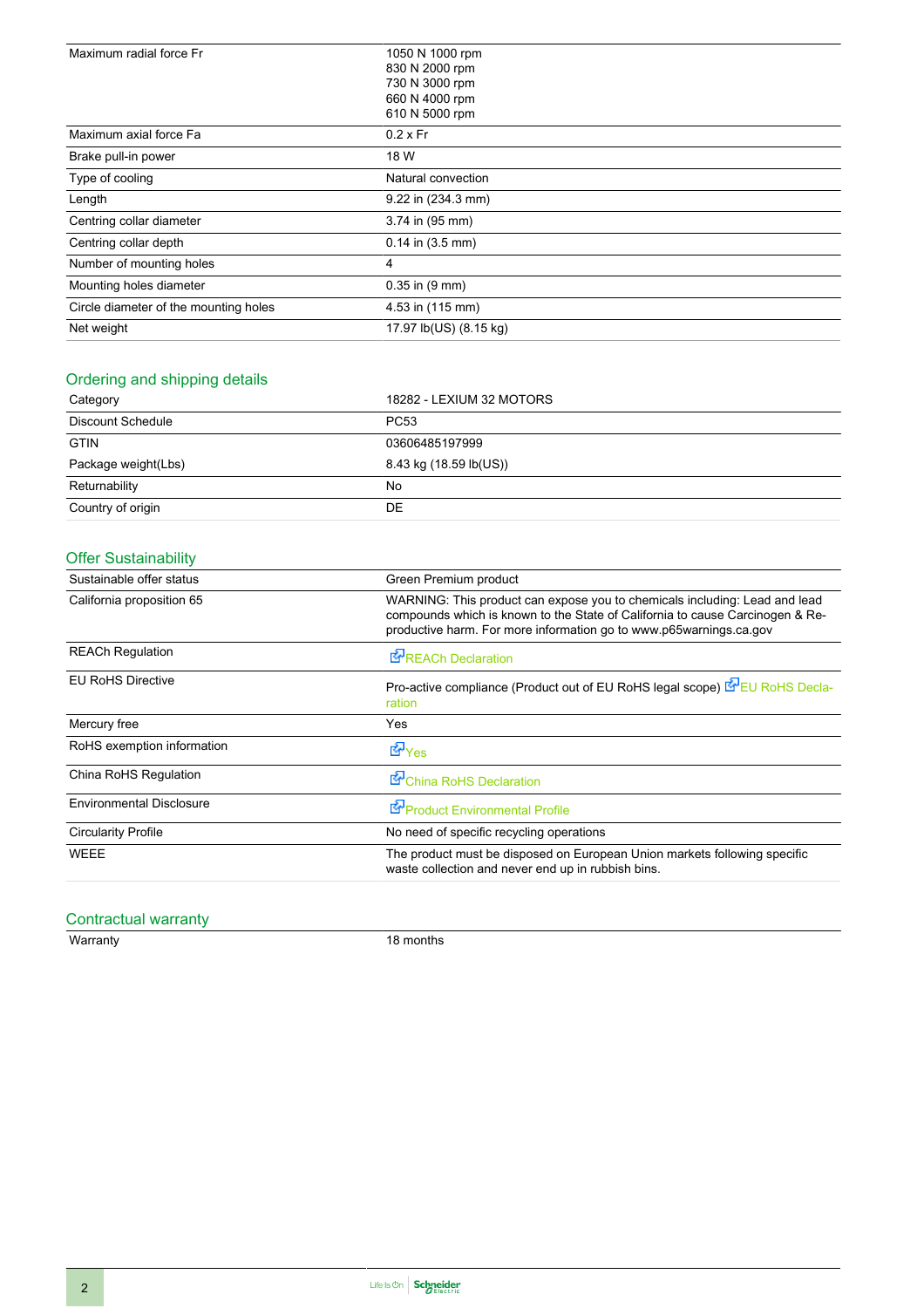| Maximum radial force Fr               | 1050 N 1000 rpm            |  |  |
|---------------------------------------|----------------------------|--|--|
|                                       | 830 N 2000 rpm             |  |  |
|                                       | 730 N 3000 rpm             |  |  |
|                                       | 660 N 4000 rpm             |  |  |
|                                       | 610 N 5000 rpm             |  |  |
| Maximum axial force Fa                | $0.2 \times Fr$            |  |  |
| Brake pull-in power                   | 18 W                       |  |  |
| Type of cooling                       | Natural convection         |  |  |
| Length                                | 9.22 in (234.3 mm)         |  |  |
| Centring collar diameter              | 3.74 in (95 mm)            |  |  |
| Centring collar depth                 | $0.14$ in $(3.5$ mm)       |  |  |
| Number of mounting holes              | 4                          |  |  |
| Mounting holes diameter               | $0.35$ in $(9 \text{ mm})$ |  |  |
| Circle diameter of the mounting holes | 4.53 in (115 mm)           |  |  |
| Net weight                            | 17.97 lb(US) (8.15 kg)     |  |  |

### Ordering and shipping details

| Category            | 18282 - LEXIUM 32 MOTORS |  |
|---------------------|--------------------------|--|
| Discount Schedule   | <b>PC53</b>              |  |
| <b>GTIN</b>         | 03606485197999           |  |
| Package weight(Lbs) | 8.43 kg (18.59 lb(US))   |  |
| Returnability       | No                       |  |
| Country of origin   | DE                       |  |

## Offer Sustainability

| Sustainable offer status        | Green Premium product                                                                                                                                                                                                             |  |  |
|---------------------------------|-----------------------------------------------------------------------------------------------------------------------------------------------------------------------------------------------------------------------------------|--|--|
| California proposition 65       | WARNING: This product can expose you to chemicals including: Lead and lead<br>compounds which is known to the State of California to cause Carcinogen & Re-<br>productive harm. For more information go to www.p65warnings.ca.gov |  |  |
| <b>REACh Regulation</b>         | <b>E</b> <sup><i>R</i></sup> REACh Declaration                                                                                                                                                                                    |  |  |
| <b>EU RoHS Directive</b>        | Pro-active compliance (Product out of EU RoHS legal scope) <b>EV</b> EU RoHS Decla-<br>ration                                                                                                                                     |  |  |
| Mercury free                    | Yes                                                                                                                                                                                                                               |  |  |
| RoHS exemption information      | <b>E</b> Yes                                                                                                                                                                                                                      |  |  |
| China RoHS Regulation           | China RoHS Declaration                                                                                                                                                                                                            |  |  |
| <b>Environmental Disclosure</b> | Froduct Environmental Profile                                                                                                                                                                                                     |  |  |
| <b>Circularity Profile</b>      | No need of specific recycling operations                                                                                                                                                                                          |  |  |
| WEEE                            | The product must be disposed on European Union markets following specific<br>waste collection and never end up in rubbish bins.                                                                                                   |  |  |

### Contractual warranty

Warranty 18 months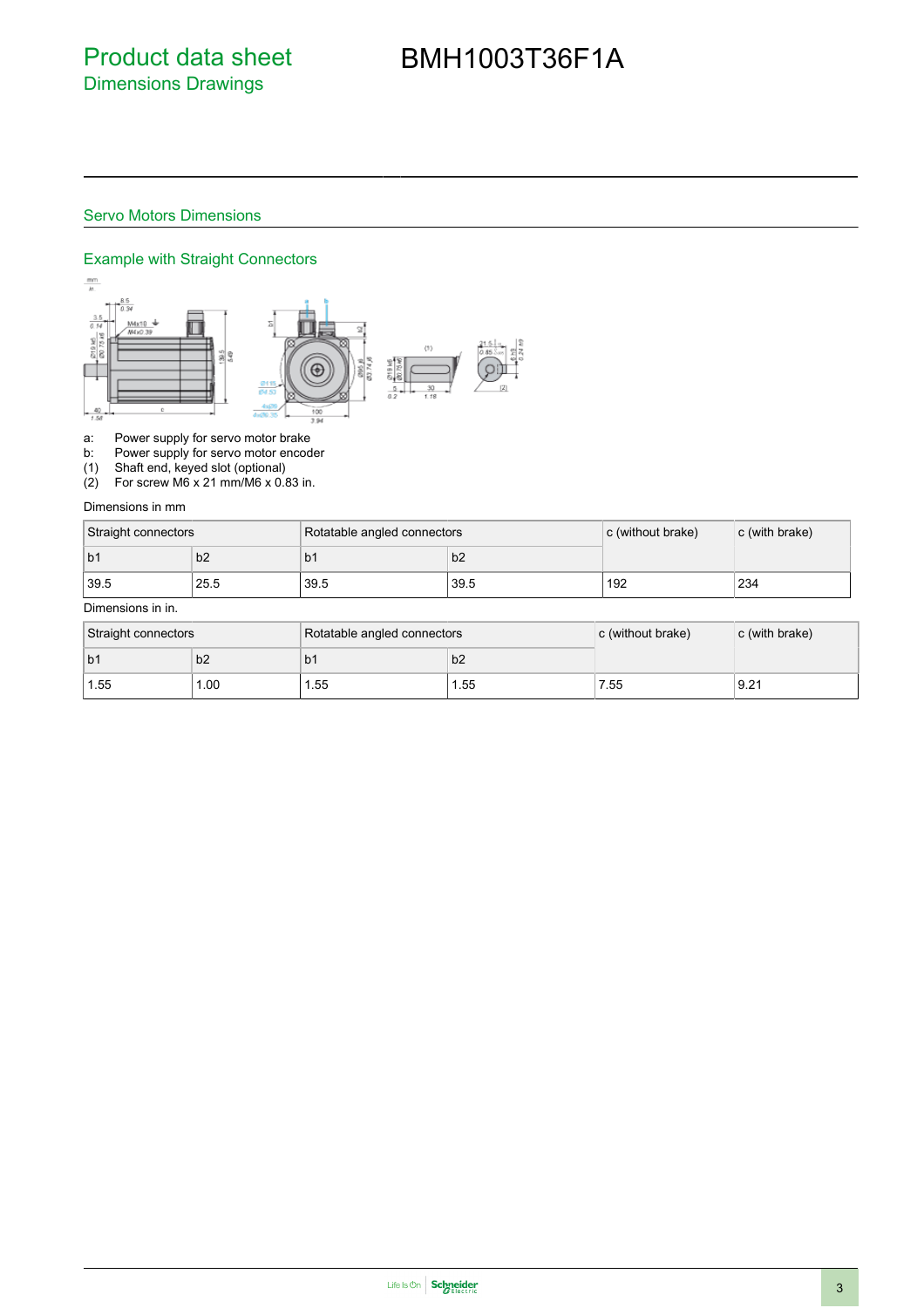# BMH1003T36F1A

#### Servo Motors Dimensions

#### Example with Straight Connectors



a: Power supply for servo motor brake<br>b: Power supply for servo motor encod

Power supply for servo motor encoder

(1) Shaft end, keyed slot (optional)

(2) For screw M6 x 21 mm/M6 x 0.83 in.

#### Dimensions in mm

| Straight connectors |      | Rotatable angled connectors |      | c (without brake) | c (with brake) |
|---------------------|------|-----------------------------|------|-------------------|----------------|
| b <sub>1</sub>      | b2   | b1                          | b2   |                   |                |
| 39.5                | 25.5 | 39.5                        | 39.5 | 192               | 234            |

#### Dimensions in in.

| Straight connectors |                | Rotatable angled connectors |       | $\mathsf{c}$ (without brake) | c (with brake) |
|---------------------|----------------|-----------------------------|-------|------------------------------|----------------|
| l b1                | b <sub>2</sub> | b١                          | b2    |                              |                |
| 1.55                | .00            | .55                         | 55. ا | 7.55                         | 9.21           |